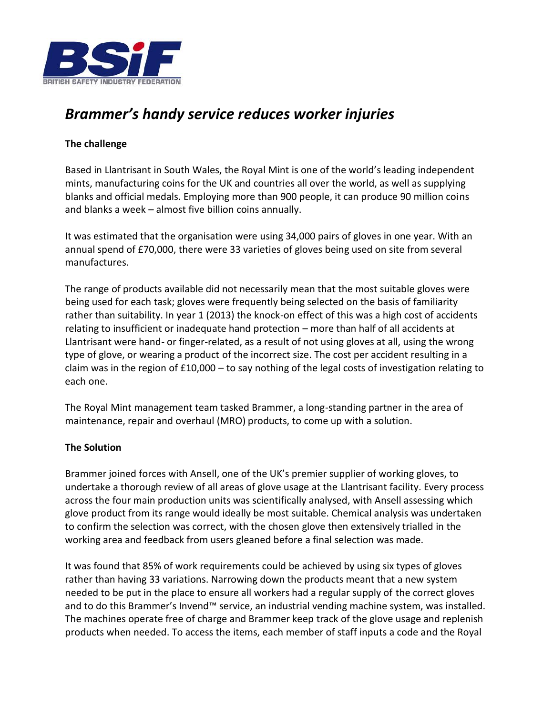

## *Brammer's handy service reduces worker injuries*

## **The challenge**

Based in Llantrisant in South Wales, the Royal Mint is one of the world's leading independent mints, manufacturing coins for the UK and countries all over the world, as well as supplying blanks and official medals. Employing more than 900 people, it can produce 90 million coins and blanks a week – almost five billion coins annually.

It was estimated that the organisation were using 34,000 pairs of gloves in one year. With an annual spend of £70,000, there were 33 varieties of gloves being used on site from several manufactures.

The range of products available did not necessarily mean that the most suitable gloves were being used for each task; gloves were frequently being selected on the basis of familiarity rather than suitability. In year 1 (2013) the knock-on effect of this was a high cost of accidents relating to insufficient or inadequate hand protection – more than half of all accidents at Llantrisant were hand- or finger-related, as a result of not using gloves at all, using the wrong type of glove, or wearing a product of the incorrect size. The cost per accident resulting in a claim was in the region of £10,000 – to say nothing of the legal costs of investigation relating to each one.

The Royal Mint management team tasked Brammer, a long-standing partner in the area of maintenance, repair and overhaul (MRO) products, to come up with a solution.

## **The Solution**

Brammer joined forces with Ansell, one of the UK's premier supplier of working gloves, to undertake a thorough review of all areas of glove usage at the Llantrisant facility. Every process across the four main production units was scientifically analysed, with Ansell assessing which glove product from its range would ideally be most suitable. Chemical analysis was undertaken to confirm the selection was correct, with the chosen glove then extensively trialled in the working area and feedback from users gleaned before a final selection was made.

It was found that 85% of work requirements could be achieved by using six types of gloves rather than having 33 variations. Narrowing down the products meant that a new system needed to be put in the place to ensure all workers had a regular supply of the correct gloves and to do this Brammer's Invend™ service, an industrial vending machine system, was installed. The machines operate free of charge and Brammer keep track of the glove usage and replenish products when needed. To access the items, each member of staff inputs a code and the Royal